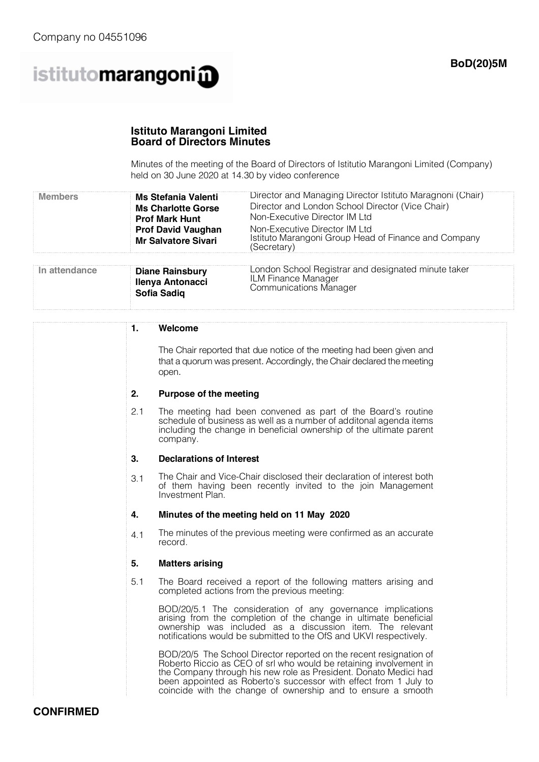# **Istituto Marangoni Limited Board of Directors Minutes**

Minutes of the meeting of the Board of Directors of Istitutio Marangoni Limited (Company) held on 30 June 2020 at 14.30 by video conference

| Non-Executive Director IM Ltd<br><b>Prof Mark Hunt</b><br>Non-Executive Director IM Ltd<br><b>Prof David Vaughan</b><br>Istituto Marangoni Group Head of Finance and Company<br><b>Mr Salvatore Sivari</b><br>(Secretary) | <b>Members</b> | Ms Stefania Valenti<br><b>Ms Charlotte Gorse</b> | Director and Managing Director Istituto Maragnoni (Chair)<br>Director and London School Director (Vice Chair) |  |
|---------------------------------------------------------------------------------------------------------------------------------------------------------------------------------------------------------------------------|----------------|--------------------------------------------------|---------------------------------------------------------------------------------------------------------------|--|
|---------------------------------------------------------------------------------------------------------------------------------------------------------------------------------------------------------------------------|----------------|--------------------------------------------------|---------------------------------------------------------------------------------------------------------------|--|

| In attendance<br><b>Diane Rainsbury</b><br>Ilenya Antonacci<br>Sofia Sadiq | London School Registrar and designated minute taker<br><b>ILM Finance Manager</b><br>Communications Manager |
|----------------------------------------------------------------------------|-------------------------------------------------------------------------------------------------------------|
|----------------------------------------------------------------------------|-------------------------------------------------------------------------------------------------------------|

| 1. | Welcome |
|----|---------|
|    |         |

The Chair reported that due notice of the meeting had been given and that a quorum was present. Accordingly, the Chair declared the meeting open.

### **2. Purpose of the meeting**

2.1 The meeting had been convened as part of the Board's routine schedule of business as well as a number of additonal agenda items including the change in beneficial ownership of the ultimate parent company.

### **3. Declarations of Interest**

3.1 The Chair and Vice-Chair disclosed their declaration of interest both of them having been recently invited to the join Management Investment Plan.

### **4. Minutes of the meeting held on 11 May 2020**

4.1 The minutes of the previous meeting were confirmed as an accurate record.

### **5. Matters arising**

5.1 The Board received a report of the following matters arising and completed actions from the previous meeting:

BOD/20/5.1 The consideration of any governance implications arising from the completion of the change in ultimate beneficial ownership was included as a discussion item. The relevant notifications would be submitted to the OfS and UKVI respectively.

BOD/20/5 The School Director reported on the recent resignation of Roberto Riccio as CEO of srl who would be retaining involvement in the Company through his new role as President. Donato Medici had been appointed as Roberto's successor with effect from 1 July to coincide with the change of ownership and to ensure a smooth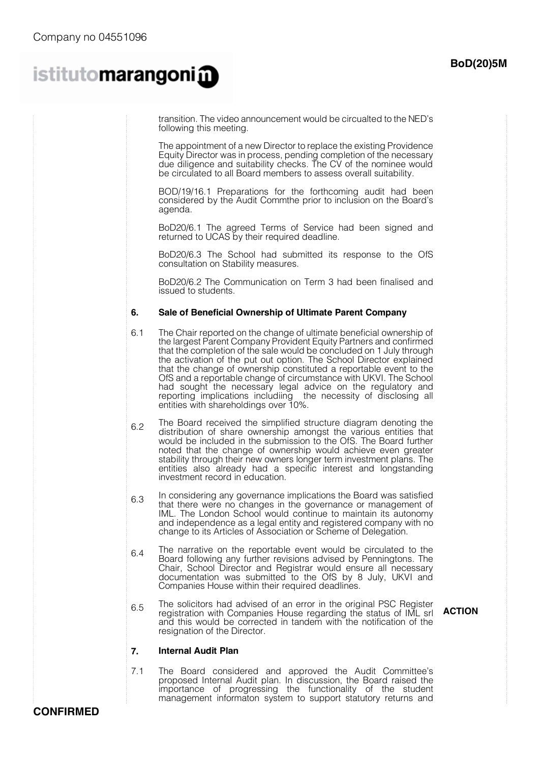transition. The video announcement would be circualted to the NED's following this meeting.

The appointment of a new Director to replace the existing Providence Equity Director was in process, pending completion of the necessary due diligence and suitability checks. The CV of the nominee would be circulated to all Board members to assess overall suitability.

BOD/19/16.1 Preparations for the forthcoming audit had been considered by the Audit Commthe prior to inclusion on the Board's agenda.

BoD20/6.1 The agreed Terms of Service had been signed and returned to UCAS by their required deadline.

BoD20/6.3 The School had submitted its response to the OfS consultation on Stability measures.

BoD20/6.2 The Communication on Term 3 had been finalised and issued to students.

#### **6. Sale of Beneficial Ownership of Ultimate Parent Company**

- 6.1 The Chair reported on the change of ultimate beneficial ownership of the largest Parent Company Provident Equity Partners and confirmed that the completion of the sale would be concluded on 1 July through the activation of the put out option. The School Director explained that the change of ownership constituted a reportable event to the OfS and a reportable change of circumstance with UKVI. The School had sought the necessary legal advice on the regulatory and reporting implications includiing the necessity of disclosing all entities with shareholdings over 10%.
- 6.2 The Board received the simplified structure diagram denoting the distribution of share ownership amongst the various entities that would be included in the submission to the OfS. The Board further noted that the change of ownership would achieve even greater stability through their new owners longer term investment plans. The entities also already had a specific interest and longstanding investment record in education.
- 6.3 In considering any governance implications the Board was satisfied that there were no changes in the governance or management of IML. The London School would continue to maintain its autonomy and independence as a legal entity and registered company with no change to its Articles of Association or Scheme of Delegation.
- 6.4 The narrative on the reportable event would be circulated to the Board following any further revisions advised by Penningtons. The Chair, School Director and Registrar would ensure all necessary documentation was submitted to the OfS by 8 July, UKVI and Companies House within their required deadlines.
- 6.5 The solicitors had advised of an error in the original PSC Register registration with Companies House regarding the status of IML srl and this would be corrected in tandem with the notification of the resignation of the Director.

# **ACTION**

#### **7. Internal Audit Plan**

7.1 The Board considered and approved the Audit Committee's proposed Internal Audit plan. In discussion, the Board raised the importance of progressing the functionality of the student management informaton system to support statutory returns and

# **CONFIRMED**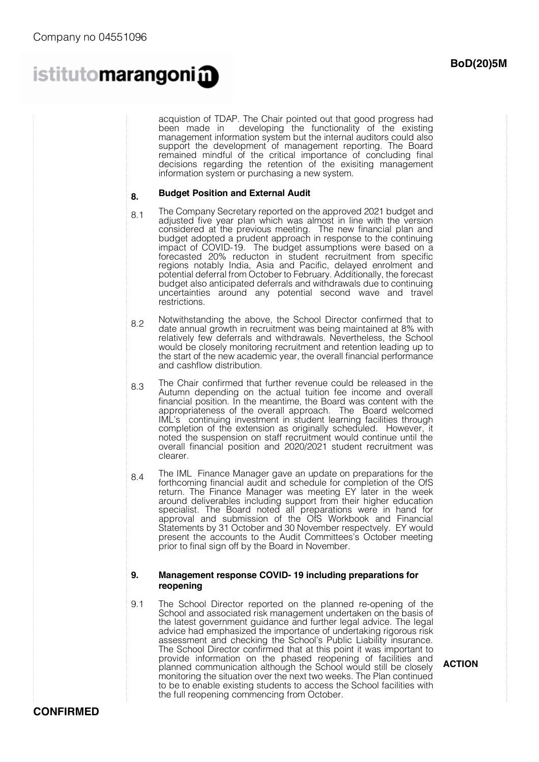acquistion of TDAP. The Chair pointed out that good progress had<br>been made in developing the functionality of the existing developing the functionality of the existing management information system but the internal auditors could also support the development of management reporting. The Board remained mindful of the critical importance of concluding final decisions regarding the retention of the exisiting management information system or purchasing a new system.

### **8. Budget Position and External Audit**

- 8.1 The Company Secretary reported on the approved 2021 budget and adjusted five year plan which was almost in line with the version considered at the previous meeting. The new financial plan and budget adopted a prudent approach in response to the continuing impact of COVID-19. The budget assumptions were based on a forecasted 20% reducton in student recruitment from specific regions notably India, Asia and Pacific, delayed enrolment and potential deferral from October to February. Additionally, the forecast budget also anticipated deferrals and withdrawals due to continuing uncertainties around any potential second wave and travel restrictions.
- 8.2 Notwithstanding the above, the School Director confirmed that to date annual growth in recruitment was being maintained at 8% with relatively few deferrals and withdrawals. Nevertheless, the School would be closely monitoring recruitment and retention leading up to the start of the new academic year, the overall financial performance and cashflow distribution.
- 8.3 The Chair confirmed that further revenue could be released in the Autumn depending on the actual tuition fee income and overall financial position. In the meantime, the Board was content with the appropriateness of the overall approach. The Board welcomed IML's continuing investment in student learning facilities through completion of the extension as originally scheduled. However, it noted the suspension on staff recruitment would continue until the overall financial position and 2020/2021 student recruitment was clearer.
- 8.4 The IML Finance Manager gave an update on preparations for the forthcoming financial audit and schedule for completion of the OfS return. The Finance Manager was meeting EY later in the week around deliverables including support from their higher education specialist. The Board noted all preparations were in hand for approval and submission of the OfS Workbook and Financial Statements by 31 October and 30 November respectvely. EY would present the accounts to the Audit Committees's October meeting prior to final sign off by the Board in November.

## **9. Management response COVID- 19 including preparations for reopening**

9.1 The School Director reported on the planned re-opening of the School and associated risk management undertaken on the basis of the latest government guidance and further legal advice. The legal advice had emphasized the importance of undertaking rigorous risk assessment and checking the School's Public Liability insurance. The School Director confirmed that at this point it was important to provide information on the phased reopening of facilities and planned communication although the School would still be closely monitoring the situation over the next two weeks. The Plan continued to be to enable existing students to access the School facilities with the full reopening commencing from October.

**ACTION**

**CONFIRMED**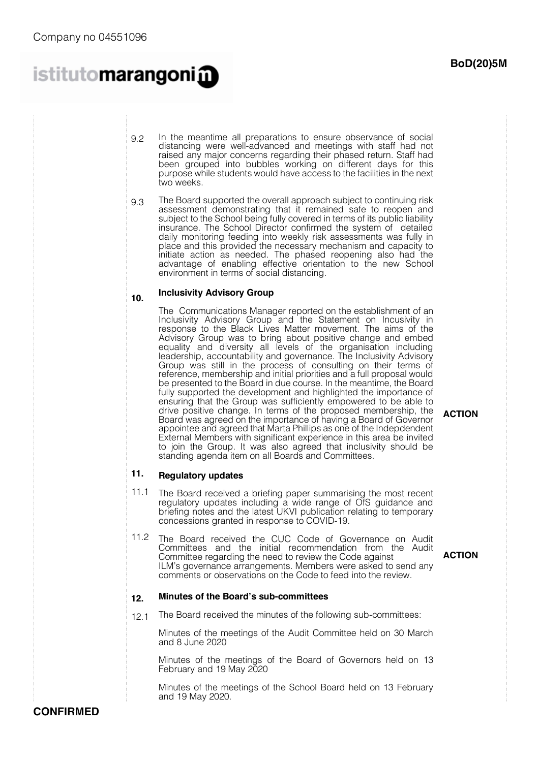- 9.2 In the meantime all preparations to ensure observance of social distancing were well-advanced and meetings with staff had not raised any major concerns regarding their phased return. Staff had been grouped into bubbles working on different days for this purpose while students would have access to the facilities in the next two weeks.
- 9.3 The Board supported the overall approach subject to continuing risk assessment demonstrating that it remained safe to reopen and subject to the School being fully covered in terms of its public liability insurance. The School Director confirmed the system of detailed daily monitoring feeding into weekly risk assessments was fully in place and this provided the necessary mechanism and capacity to initiate action as needed. The phased reopening also had the advantage of enabling effective orientation to the new School environment in terms of social distancing.

## **10. Inclusivity Advisory Group**

The Communications Manager reported on the establishment of an Inclusivity Advisory Group and the Statement on Incusivity in response to the Black Lives Matter movement. The aims of the Advisory Group was to bring about positive change and embed equality and diversity all levels of the organisation including leadership, accountability and governance. The Inclusivity Advisory Group was still in the process of consulting on their terms of reference, membership and initial priorities and a full proposal would be presented to the Board in due course. In the meantime, the Board fully supported the development and highlighted the importance of ensuring that the Group was sufficiently empowered to be able to drive positive change. In terms of the proposed membership, the Board was agreed on the importance of having a Board of Governor appointee and agreed that Marta Phillips as one of the Indepdendent External Members with significant experience in this area be invited to join the Group. It was also agreed that inclusivity should be standing agenda item on all Boards and Committees.

## **11. Regulatory updates**

- 11.1 The Board received a briefing paper summarising the most recent regulatory updates including a wide range of OfS guidance and briefing notes and the latest UKVI publication relating to temporary concessions granted in response to COVID-19.
- 11.2 The Board received the CUC Code of Governance on Audit Committees and the initial recommendation from the Audit Committee regarding the need to review the Code against ILM's governance arrangements. Members were asked to send any comments or observations on the Code to feed into the review.

## **12. Minutes of the Board's sub-committees**

- 12.1 The Board received the minutes of the following sub-committees:
	- Minutes of the meetings of the Audit Committee held on 30 March and 8 June 2020

Minutes of the meetings of the Board of Governors held on 13 February and 19 May 2020

Minutes of the meetings of the School Board held on 13 February and 19 May 2020.

**BoD(20)5M**

**ACTION**

# **ACTION**

# **CONFIRMED**